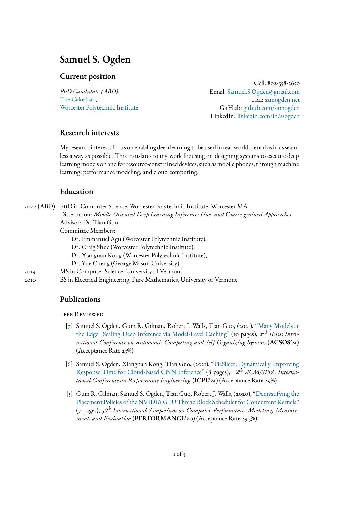# <span id="page-0-1"></span>**Samuel S. Ogden**

### **Current position**

*PhD Candidate (ABD)*, [The Cake Lab,](https://cake.wpi.edu/) [Worcester Polytechnic Institute](https://www.wpi.edu/)

Cell: 802-558-2650 Email: [Samuel.S.Ogden@gmail.com](mailto:Samuel.S.Sgden@gmail.com) url: [samogden.net](http://samogden.net/) GitHub: [github.com/samogden](https://github.com/samogden) LinkedIn: [linkedin.com/in/ssogden](https://www.linkedin.com/in/ssogden/)

### **Research interests**

My research interests focus on enabling deep learning to be used in real-world scenarios in as seamless a way as possible. This translates to my work focusing on designing systems to execute deep learning models on and for resource-constrained devices, such as mobile phones, through machine learning, performance modeling, and cloud computing.

### **Education**

|  |      | 2022 (ABD) PHD in Computer Science, Worcester Polytechnic Institute, Worcester MA          |
|--|------|--------------------------------------------------------------------------------------------|
|  |      | Dissertation: Mobile-Oriented Deep Learning Inference: Fine- and Coarse-grained Approaches |
|  |      | Advisor: Dr. Tian Guo                                                                      |
|  |      | Committee Members:                                                                         |
|  |      | Dr. Emmanuel Agu (Worcester Polytechnic Institute),                                        |
|  |      | Dr. Craig Shue (Worcester Polytechnic Institute),                                          |
|  |      | Dr. Xiangnan Kong (Worcester Polytechnic Institute),                                       |
|  |      | Dr. Yue Cheng (George Mason University)                                                    |
|  | 2013 | MS in Computer Science, University of Vermont                                              |
|  |      |                                                                                            |

2010 BS in Electrical Engineering, Pure Mathematics, University of Vermont

#### **Publications**

<span id="page-0-0"></span>Peer Reviewed

- [7] Samuel S. Ogden, Guin R. Gilman, Robert J. Walls, Tian Guo, (2021), ["Many Models at](https://www.samogden.net/assets/pdfs/Ogden2021b.pdf) [the Edge: Scaling Deep Inference via Model-Level Caching"](https://www.samogden.net/assets/pdfs/Ogden2021b.pdf) (10 pages), 2<sup>nd</sup> IEEE Inter*national Conference on Autonomic Computing and Self-Organizing Systems* (**ACSOS'21**) (Acceptance Rate 23%)
- [6] Samuel S. Ogden, Xiangnan Kong, Tian Guo, (2021), ["PieSlicer: Dynamically Improving](https://doi.org/10.1145/3427921.3450256) [Response Time for Cloud-based CNN Inference"](https://doi.org/10.1145/3427921.3450256) (8 pages), 12*th ACM/SPEC International Conference on Performance Engineering* (**ICPE'21**) (Acceptance Rate 29%)
- [5] Guin R. Gilman, Samuel S. Ogden, Tian Guo, Robert J. Walls, (2020), ["Demystifying the](https://www.samogden.net/assets/pdfs/Gilman2020a.pdf) [Placement Policies of the NVIDIA GPU Thread Block Scheduler for Concurrent Kernels"](https://www.samogden.net/assets/pdfs/Gilman2020a.pdf) (7 pages), *38th International Symposium on Computer Performance, Modeling, Measurements and Evaluation* (**PERFORMANCE'20**) (Acceptance Rate 23.5%)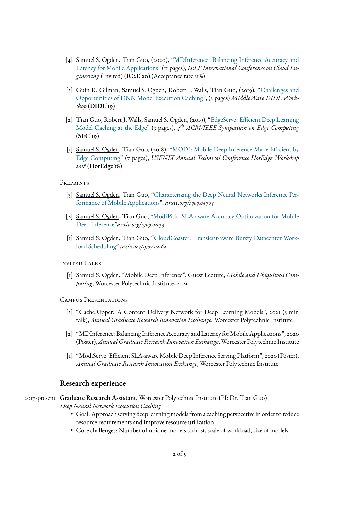- [4] Samuel S. Ogden, Tian Guo, (2020), ["MDInference: Balancing Inference Accuracy and](https://www.samogden.net/assets/pdfs/Ogden2020.pdf) [Latency for Mobile Applications"](https://www.samogden.net/assets/pdfs/Ogden2020.pdf) (11 pages), *IEEE International Conference on Cloud Engineering* (Invited) (**IC2E'20**) (Acceptance rate 51%)
- [3] Guin R. Gilman, Samuel S. Ogden, Robert J. Walls, Tian Guo, (2019), ["Challenges and](https://www.samogden.net/assets/pdfs/Gilman2019.pdf) [Opportunities of DNN Model Execution Caching"](https://www.samogden.net/assets/pdfs/Gilman2019.pdf), (5 pages) *MiddleWare DIDL Workshop* (**DIDL'19**)
- [2] Tian Guo, Robert J. Walls, Samuel S. Ogden, (2019), "EdgeServe: Efficient Deep Learning [Model Caching at the Edge"](https://www.samogden.net/assets/pdfs/Gilman2019.pdf) (3 pages), *4 th ACM/IEEE Symposium on Edge Computing* (**SEC'19**)
- [1] Samuel S. Ogden, Tian Guo, (2018), "MODI: Mobile Deep Inference Made Efficient by [Edge Computing"](https://www.samogden.net/assets/pdfs/Ogden2018.pdf) (7 pages), *USENIX Annual Technical Conference HotEdge Workshop 2018* (**HotEdge'18**)

#### **PREPRINTS**

- [3] Samuel S. Ogden, Tian Guo, ["Characterizing the Deep Neural Networks Inference Per](https://www.samogden.net/assets/pdfs/Ogden2019b.pdf)[formance of Mobile Applications"](https://www.samogden.net/assets/pdfs/Ogden2019b.pdf), *arxiv.org/1909.04783*
- [2] Samuel S. Ogden, Tian Guo, ["ModiPick: SLA-aware Accuracy Optimization for Mobile](https://www.samogden.net/assets/pdfs/Ogden2019a.pdf) [Deep Inference"](https://www.samogden.net/assets/pdfs/Ogden2019a.pdf)*arxiv.org/1909.02053*
- [1] Samuel S. Ogden, Tian Guo, ["CloudCoaster: Transient-aware Bursty Datacenter Work](https://www.samogden.net/assets/pdfs/Ogden2019.pdf)[load Scheduling"](https://www.samogden.net/assets/pdfs/Ogden2019.pdf)*arxiv.org/1907.02162*

#### Invited Talks

[1] Samuel S. Ogden, "Mobile Deep Inference", Guest Lecture, *Mobile and Ubiquitous Computing*, Worcester Polytechnic Institute, 2021

#### Campus Presentations

- [3] "CacheRipper: A Content Delivery Network for Deep Learning Models", 2021 (5 min talk), *Annual Graduate Research Innovation Exchange*, Worcester Polytechnic Institute
- [2] "MDInference: Balancing Inference Accuracy and Latency for Mobile Applications", 2020 (Poster), *Annual Graduate Research Innovation Exchange*, Worcester Polytechnic Institute
- [1] "ModiServe: Efficient SLA-aware Mobile Deep Inference Serving Platform", 2020 (Poster), *Annual Graduate Research Innovation Exchange*, Worcester Polytechnic Institute

#### **Research experience**

#### 2017-present **Graduate Research Assistant**, Worcester Polytechnic Institute (PI: Dr. Tian Guo)

*Deep Neural Network Execution Caching*

- Goal: Approach serving deep learning models from a caching perspective in order to reduce resource requirements and improve resource utilization.
- Core challenges: Number of unique models to host, scale of workload, size of models.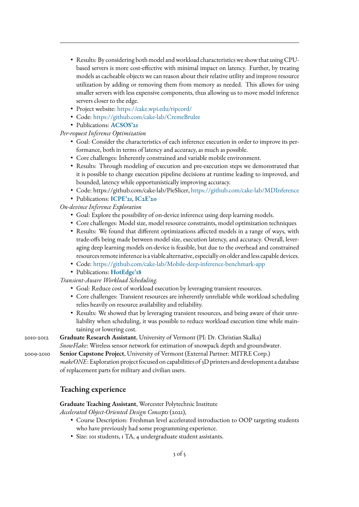- Results: By considering both model and workload characteristics we show that using CPUbased servers is more cost-effective with minimal impact on latency. Further, by treating models as cacheable objects we can reason about their relative utility and improve resource utilization by adding or removing them from memory as needed. This allows for using smaller servers with less expensive components, thus allowing us to move model inference servers closer to the edge.
- Project website: <https://cake.wpi.edu/ripcord/>
- Code: <https://github.com/cake-lab/CremeBrulee>
- Publications: **[ACSOS'21](#page-0-0)**

#### *Per-request Inference Optimization*

- Goal: Consider the characteristics of each inference execution in order to improve its performance, both in terms of latency and accuracy, as much as possible.
- Core challenges: Inherently constrained and variable mobile environment.
- Results: Through modeling of execution and pre-execution steps we demonstrated that it is possible to change execution pipeline decisions at runtime leading to improved, and bounded, latency while opportunistically improving accuracy.
- Code: [https://github.com/cake-lab/PieSlicer,](#page-0-1) <https://github.com/cake-lab/MDInference>
- Publications: **[ICPE'21](#page-0-0)**, **[IC2E'20](#page-0-0)**

### *On-devince Inference Exploration*

- Goal: Explore the possibility of on-device inference using deep learning models.
- Core challenges: Model size, model resource constraints, model optimization techniques
- Results: We found that different optimizations affected models in a range of ways, with trade-offs being made between model size, execution latency, and accuracy. Overall, leveraging deep learning models on-device is feasible, but due to the overhead and constrained resources remote inference is a viable alternative, especially on older and less capable devices.
- Code: <https://github.com/cake-lab/Mobile-deep-inference-benchmark-app>
- Publications: **[HotEdge'18](#page-0-0)**

*Transient-Aware Workload Scheduling.*

- Goal: Reduce cost of workload execution by leveraging transient resources.
- Core challenges: Transient resources are inherently unreliable while workload scheduling relies heavily on resource availability and reliability.
- Results: We showed that by leveraging transient resources, and being aware of their unreliability when scheduling, it was possible to reduce workload execution time while maintaining or lowering cost.

#### 2010-2012 **Graduate Research Assistant**, University of Vermont (PI: Dr. Christian Skalka)

*SnowFlake*: Wireless sensor network for estimation of snowpack depth and groundwater.

2009-2010 **Senior Capstone Project**, University of Vermont (External Partner: MITRE Corp.)

*makeONE*: Exploration project focused on capabilities of 3D printers and development a database of replacement parts for military and civilian users.

# **Teaching experience**

#### **Graduate Teaching Assistant**, Worcester Polytechnic Institute

*Accelerated Object-Oriented Design Concepts* (2021),

- Course Description: Freshman level accelerated introduction to OOP targeting students who have previously had some programming experience.
- Size: 101 students, 1 TA, 4 undergraduate student assistants.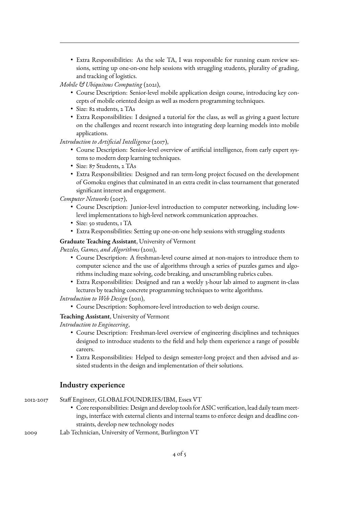• Extra Responsibilities: As the sole TA, I was responsible for running exam review sessions, setting up one-on-one help sessions with struggling students, plurality of grading, and tracking of logistics.

*Mobile & Ubiquitous Computing* (2021),

- Course Description: Senior-level mobile application design course, introducing key concepts of mobile oriented design as well as modern programming techniques.
- Size: 82 students, 2 TAs
- Extra Responsibilities: I designed a tutorial for the class, as well as giving a guest lecture on the challenges and recent research into integrating deep learning models into mobile applications.

*Introduction to Artificial Intelligence* (2017),

- Course Description: Senior-level overview of artificial intelligence, from early expert systems to modern deep learning techniques.
- Size: 87 Students, 2 TAs
- Extra Responsibilities: Designed and ran term-long project focused on the development of Gomoku engines that culminated in an extra credit in-class tournament that generated significant interest and engagement.

*Computer Networks* (2017),

- Course Description: Junior-level introduction to computer networking, including lowlevel implementations to high-level network communication approaches.
- Size: 50 students, 1 TA
- Extra Responsibilities: Setting up one-on-one help sessions with struggling students

**Graduate Teaching Assistant**, University of Vermont

*Puzzles, Games, and Algorithms* (2011),

- Course Description: A freshman-level course aimed at non-majors to introduce them to computer science and the use of algorithms through a series of puzzles games and algorithms including maze solving, code breaking, and unscrambling rubrics cubes.
- Extra Responsibilities: Designed and ran a weekly 3-hour lab aimed to augment in-class lectures by teaching concrete programming techniques to write algorithms.

*Introduction to Web Design* (2011),

• Course Description: Sophomore-level introduction to web design course.

**Teaching Assistant**, University of Vermont

*Introduction to Engineering*,

- Course Description: Freshman-level overview of engineering disciplines and techniques designed to introduce students to the field and help them experience a range of possible careers.
- Extra Responsibilities: Helped to design semester-long project and then advised and assisted students in the design and implementation of their solutions.

# **Industry experience**

- 2012-2017 Staff Engineer, GLOBALFOUNDRIES/IBM, Essex VT • Core responsibilities: Design and develop tools for ASIC verification, lead daily team meetings, interface with external clients and internal teams to enforce design and deadline constraints, develop new technology nodes 2009 Lab Technician, University of Vermont, Burlington VT
	- 4 of 5